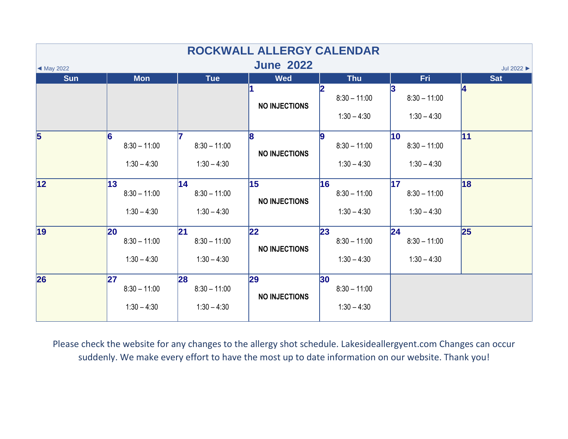| ROCKWALL ALLERGY CALENDAR                                     |                                              |                                       |                             |                                                    |                                                    |            |  |  |  |  |
|---------------------------------------------------------------|----------------------------------------------|---------------------------------------|-----------------------------|----------------------------------------------------|----------------------------------------------------|------------|--|--|--|--|
| <b>June 2022</b><br>Jul 2022<br>$\blacktriangleleft$ May 2022 |                                              |                                       |                             |                                                    |                                                    |            |  |  |  |  |
| <b>Sun</b>                                                    | <b>Mon</b>                                   | <b>Tue</b>                            | <b>Wed</b>                  | <b>Thu</b>                                         | <b>Fri</b>                                         | <b>Sat</b> |  |  |  |  |
|                                                               |                                              |                                       | <b>NO INJECTIONS</b>        | $8:30 - 11:00$<br>$1:30 - 4:30$                    | 13<br>$8:30 - 11:00$<br>$1:30 - 4:30$              | 4          |  |  |  |  |
| $\overline{5}$                                                | 6<br>$8:30 - 11:00$<br>$1:30 - 4:30$         | $8:30 - 11:00$<br>$1:30 - 4:30$       | 8<br><b>NO INJECTIONS</b>   | g<br>$8:30 - 11:00$<br>$1:30 - 4:30$               | $\overline{10}$<br>$8:30 - 11:00$<br>$1:30 - 4:30$ | 11         |  |  |  |  |
| 12                                                            | 13<br>$8:30 - 11:00$<br>$1:30 - 4:30$        | 14<br>$8:30 - 11:00$<br>$1:30 - 4:30$ | 15<br><b>NO INJECTIONS</b>  | 16<br>$8:30 - 11:00$<br>$1:30 - 4:30$              | $\overline{17}$<br>$8:30 - 11:00$<br>$1:30 - 4:30$ | 18         |  |  |  |  |
| $\vert$ 19                                                    | <b>20</b><br>$8:30 - 11:00$<br>$1:30 - 4:30$ | 21<br>$8:30 - 11:00$<br>$1:30 - 4:30$ | 22 <br><b>NO INJECTIONS</b> | 23<br>$8:30 - 11:00$<br>$1:30 - 4:30$              | 24 <br>$8:30 - 11:00$<br>$1:30 - 4:30$             | 25         |  |  |  |  |
| 26                                                            | 27<br>$8:30 - 11:00$<br>$1:30 - 4:30$        | 28<br>$8:30 - 11:00$<br>$1:30 - 4:30$ | 29<br><b>NO INJECTIONS</b>  | 30 <sub>o</sub><br>$8:30 - 11:00$<br>$1:30 - 4:30$ |                                                    |            |  |  |  |  |

Please check the website for any changes to the allergy shot schedule. Lakesideallergyent.com Changes can occur suddenly. We make every effort to have the most up to date information on our website. Thank you!